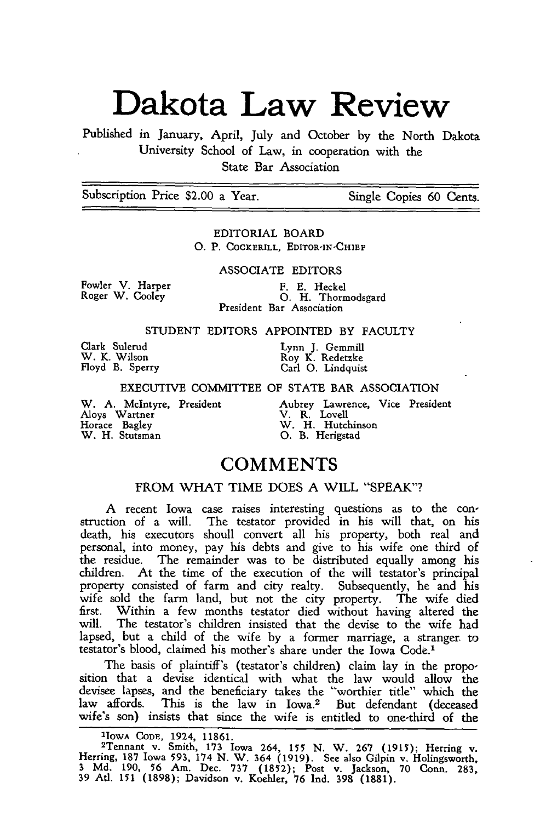# **Dakota Law Review**

Published in January, April, July and October by the North Dakota University School of Law, in cooperation with the State Bar Association

Subscription Price \$2.00 a Year. Single Copies 60 Cents.

EDITORIAL BOARD **0.** P. **COCKERILL, EDITOR-IN-CHIEF**

ASSOCIATE EDITORS

Fowler V. Harper Roger W. Cooley

F. E. Heckel<br>O. H. Thormodsgard President Bar Association

### STUDENT EDITORS APPOINTED BY FACULTY

Clark Sulerud Lynn **J.** Gemmill

W. K. Wilson **Roy K. Redetzke** Floyd B. Sperry Carl **0.** Lindquist

#### EXECUTIVE COMMITTEE OF STATE BAR ASSOCIATION

Aloys Wartner V. R. Lovell Horace Bagley W. H. Hutchinson W. H. Stutsman **0.** B. Herigstad

Aubrey Lawrence, Vice President<br>V. R. Lovell<br>W. H. Hutchinson<br>O. B. Herigstad

# **COMMENTS**

# FROM WHAT TIME DOES **A** WILL "SPEAK"?

**A** recent Iowa case raises interesting questions as to the construction of a will. The testator provided in his will that, on his death, his executors shoull convert all his property, both real and personal, into money, pay his debts and give to his wife one third of the residue. The remainder was to be distributed equally among his children. At the time of the execution of the will testator's principal property consisted of farm and city realty. Subsequently, he and his wife sold the farm land, but not the city property. The wife died first. Within a few months testator died without having altered the will. The testator's children insisted that the devise to the wife had lapsed, but a child of the wife by a former marriage, a stranger to testator's blood, claimed his mother's share under the Iowa Code.'

The basis of plaintiff's (testator's children) claim lay in the proposition that a devise identical with what the law would allow the devisee lapses, and the beneficiary takes the "worthier title" which the law affords. This is the law in Iowa.<sup>2</sup> But defendant (deceased wife's son) insists that since the wife is entitled to one-third of the

**'IOWA CODE,** 1924, **11861.** 2Tennant v. Smith, **173** Iowa 264, **155** N. W. 267 **(1915);** Herring v. Herring, **187** Iowa 593, 174 N. W. 364 (1919). See also Gilpin v. Holingsworth, 3 Md. 190, **56** Am. Dec. 737 (1852); Post v. Jackson, 70 Conn. 283, 39 Atl. **151** (1898); Davidson v. Koehler, **76** Ind. 398 **(1881).**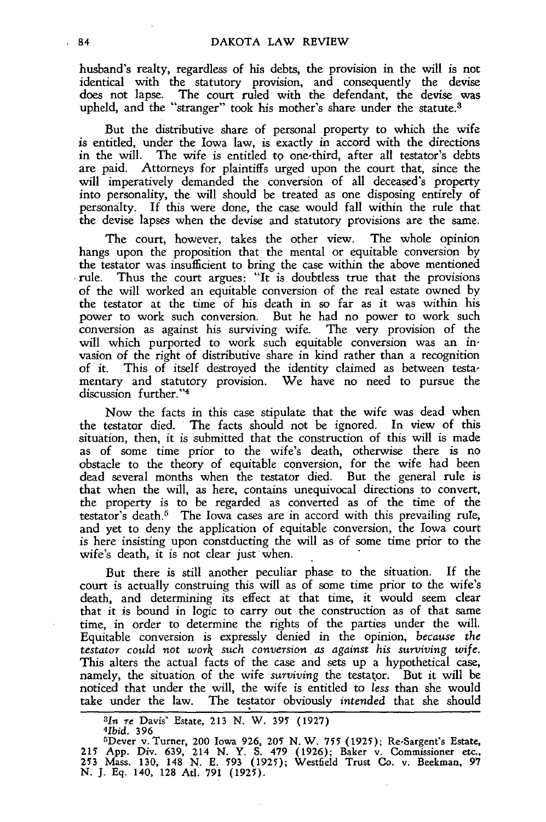husband's realty, regardless of his debts, the provision in the will is not identical with the statutory provision, and consequently the devise does not lapse. The court ruled with the defendant, the devise was upheld, and the "stranger" took his mother's share under the statute.<sup>3</sup>

But the distributive share of personal property to which the wife is entitled, under the Iowa law, is exactly in accord with the directions in the will. The wife is entitled to one-third, after all testator's debts The wife is entitled to one-third, after all testator's debts are paid. Attorneys for plaintiffs urged upon the court that, since the will imperatively demanded the conversion of all deceased's property into personality, the will should be treated as one disposing entirely of personalty. If this were done, the case would fall within the rule that the devise lapses when the devise and statutory provisions are the same.

The court, however, takes the other view. The whole opinion hangs upon the proposition that the mental or equitable conversion by the testator was insufficient to bring the case within the above mentioned rule. Thus the court argues: "It is doubtless true that the provisions of the will worked an equitable conversion of the real estate owned by the testator at the time of his death in so far as it was within his power to work such conversion. But he had no power to work such conversion as against his surviving wife. The very provision of the will which purported to work such equitable conversion was an invasion of the right of distributive share in kind rather than a recognition of it. This of itself destroyed the identity claimed as between testamentary and statutory provision. We have no need to pursue the memary and statut<br>discussion further."4

Now the facts in this case stipulate that the wife was dead when the testator died. The facts should not be ignored. In view of this situation, then, it is submitted that the construction of this will is made as of some time prior to the wife's death, otherwise there is no obstacle to the theory of equitable conversion, for the wife had been dead several months when the testator died. But the general rule is that when the will, as here, contains unequivocal directions to convert, the property is to be regarded as converted as of the time of the testator's death.<sup>5</sup> The Iowa cases are in accord with this prevailing rule, and yet to deny the application of equitable conversion, the Iowa court is here insisting upon constducting the will as of some time prior to the wife's death, it is not clear just-when.

But there is still another peculiar phase to the situation. If the court is actually construing this will as of some time prior to the wife's death, and determining its effect at that time, it would seem clear that it is bound in logic to carry out the construction as of that same time, in order to determine the rights of the parties under the will. Equitable conversion is expressly denied in the opinion, *because the testator could not work such conversion. as against his surviving wife.* This alters the actual facts of the case and sets up a hypothetical case, namely, the situation of the wife *surviving* the testator. But it will be noticed that under the will, the wife is entitled to *less* than she would take under the law. The testator obviously *intended* that she should

*<sup>3</sup>In* **re** Davis' Estate, **213 N.** W. **395 (1927)** *<sup>4</sup> 1bid.* **<sup>396</sup>** <sup>5</sup>

Dever v. Turner, **200** Iowa **926, 205 N.** W. **755 (1925);** Re-Sargent's Estate, **215 App.** Div. **639,** 214 **N.** Y. **S.** 479 **(1926);** Baker v. Commissioner etc., **253** Mass. **130, 148 N. E. 593 (1925);** Westfield Trust Co. v. Beekman, **97 N. J. Eq. 140, 128 Atl. 791 (1925)**